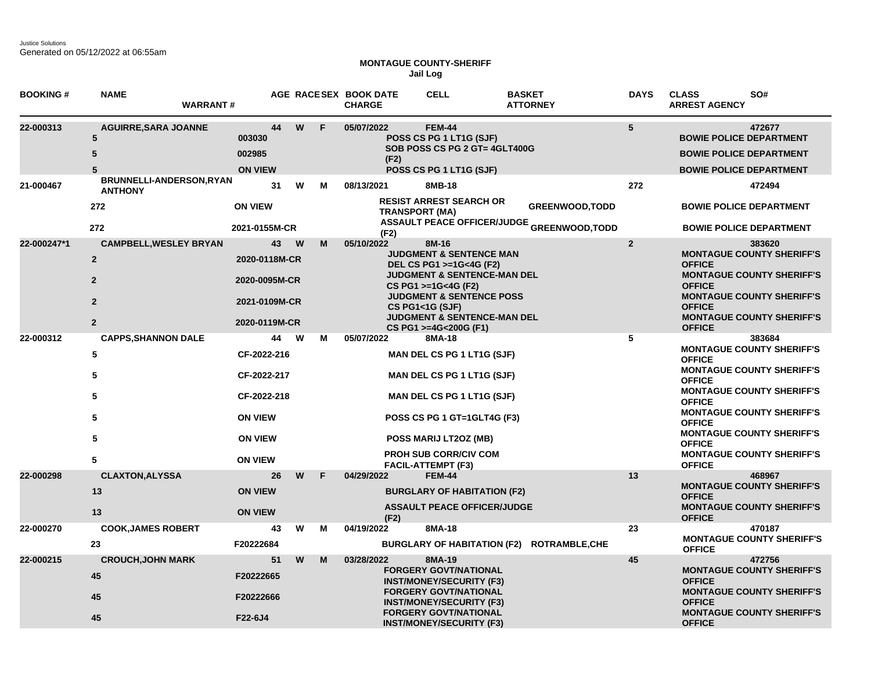Justice Solutions Generated on 05/12/2022 at 06:55am

## **MONTAGUE COUNTY-SHERIFF Jail Log**

| <b>BOOKING#</b> | <b>NAME</b><br><b>WARRANT#</b>             |                                    |    |          |   | AGE RACESEX BOOK DATE<br><b>CHARGE</b>                           | <b>CELL</b>                                                                                                                       | <b>BASKET</b><br><b>ATTORNEY</b>                                                       | <b>DAYS</b>                                       | <b>CLASS</b><br>SO#<br><b>ARREST AGENCY</b>                                                                  |
|-----------------|--------------------------------------------|------------------------------------|----|----------|---|------------------------------------------------------------------|-----------------------------------------------------------------------------------------------------------------------------------|----------------------------------------------------------------------------------------|---------------------------------------------------|--------------------------------------------------------------------------------------------------------------|
| 22-000313       | <b>AGUIRRE, SARA JOANNE</b><br>5<br>5<br>5 | 003030<br>002985<br><b>ON VIEW</b> | 44 | W        | F | 05/07/2022<br>(F2)                                               | <b>FEM-44</b><br>POSS CS PG 1 LT1G (SJF)<br>SOB POSS CS PG 2 GT= 4GLT400G<br>POSS CS PG 1 LT1G (SJF)                              |                                                                                        | 5                                                 | 472677<br><b>BOWIE POLICE DEPARTMENT</b><br><b>BOWIE POLICE DEPARTMENT</b><br><b>BOWIE POLICE DEPARTMENT</b> |
| 21-000467       | BRUNNELLI-ANDERSON, RYAN<br><b>ANTHONY</b> |                                    | 31 | W        | м | 08/13/2021                                                       | 8MB-18                                                                                                                            |                                                                                        | 272                                               | 472494                                                                                                       |
|                 | 272<br>272                                 | <b>ON VIEW</b><br>2021-0155M-CR    |    |          |   | <b>TRANSPORT (MA)</b>                                            | <b>RESIST ARREST SEARCH OR</b>                                                                                                    | <b>GREENWOOD, TODD</b><br><b>ASSAULT PEACE OFFICER/JUDGE <sub>GREENWOOD,TODD</sub></b> |                                                   | <b>BOWIE POLICE DEPARTMENT</b><br><b>BOWIE POLICE DEPARTMENT</b>                                             |
| 22-000247*1     | <b>CAMPBELL, WESLEY BRYAN</b>              |                                    | 43 | <b>W</b> | м | (F2)<br>05/10/2022                                               | 8M-16                                                                                                                             |                                                                                        | $\mathbf{2}$                                      | 383620                                                                                                       |
|                 | $\overline{2}$<br>$\overline{2}$           | 2020-0118M-CR<br>2020-0095M-CR     |    |          |   |                                                                  | <b>JUDGMENT &amp; SENTENCE MAN</b><br>DEL CS PG1 >=1G<4G (F2)<br><b>JUDGMENT &amp; SENTENCE-MAN DEL</b>                           |                                                                                        |                                                   | <b>MONTAGUE COUNTY SHERIFF'S</b><br><b>OFFICE</b><br><b>MONTAGUE COUNTY SHERIFF'S</b>                        |
|                 | $\overline{2}$                             | 2021-0109M-CR                      |    |          |   |                                                                  | CS PG1 >=1G<4G (F2)<br><b>JUDGMENT &amp; SENTENCE POSS</b><br><b>CS PG1&lt;1G (SJF)</b><br><b>JUDGMENT &amp; SENTENCE-MAN DEL</b> |                                                                                        |                                                   | <b>OFFICE</b><br><b>MONTAGUE COUNTY SHERIFF'S</b><br><b>OFFICE</b><br><b>MONTAGUE COUNTY SHERIFF'S</b>       |
|                 | $\overline{2}$                             | 2020-0119M-CR                      |    |          |   |                                                                  | CS PG1 >=4G<200G (F1)                                                                                                             |                                                                                        |                                                   | <b>OFFICE</b>                                                                                                |
| 22-000312       | <b>CAPPS, SHANNON DALE</b><br>$\sqrt{5}$   | CF-2022-216                        | 44 | W        | м | 05/07/2022                                                       | 8MA-18<br>MAN DEL CS PG 1 LT1G (SJF)                                                                                              |                                                                                        | 5                                                 | 383684<br><b>MONTAGUE COUNTY SHERIFF'S</b><br><b>OFFICE</b>                                                  |
|                 | 5                                          | CF-2022-217                        |    |          |   | <b>MAN DEL CS PG 1 LT1G (SJF)</b>                                |                                                                                                                                   |                                                                                        |                                                   | <b>MONTAGUE COUNTY SHERIFF'S</b><br><b>OFFICE</b>                                                            |
|                 | 5                                          | CF-2022-218                        |    |          |   | <b>MAN DEL CS PG 1 LT1G (SJF)</b><br>POSS CS PG 1 GT=1GLT4G (F3) |                                                                                                                                   |                                                                                        |                                                   | <b>MONTAGUE COUNTY SHERIFF'S</b><br><b>OFFICE</b>                                                            |
|                 | 5                                          | <b>ON VIEW</b>                     |    |          |   |                                                                  |                                                                                                                                   |                                                                                        |                                                   | <b>MONTAGUE COUNTY SHERIFF'S</b><br><b>OFFICE</b>                                                            |
|                 | 5                                          | <b>ON VIEW</b>                     |    |          |   | POSS MARIJ LT2OZ (MB)                                            |                                                                                                                                   |                                                                                        | <b>MONTAGUE COUNTY SHERIFF'S</b><br><b>OFFICE</b> |                                                                                                              |
|                 | 5                                          | <b>ON VIEW</b>                     |    |          |   |                                                                  | <b>PROH SUB CORR/CIV COM</b><br><b>FACIL-ATTEMPT (F3)</b>                                                                         |                                                                                        |                                                   | <b>MONTAGUE COUNTY SHERIFF'S</b><br><b>OFFICE</b>                                                            |
| 22-000298       | <b>CLAXTON, ALYSSA</b>                     |                                    | 26 | W        | F | 04/29/2022                                                       | <b>FEM-44</b>                                                                                                                     |                                                                                        | 13                                                | 468967<br><b>MONTAGUE COUNTY SHERIFF'S</b>                                                                   |
|                 | 13                                         | <b>ON VIEW</b>                     |    |          |   |                                                                  | <b>BURGLARY OF HABITATION (F2)</b>                                                                                                |                                                                                        |                                                   | <b>OFFICE</b>                                                                                                |
|                 | 13                                         | <b>ON VIEW</b>                     |    |          |   | <b>ASSAULT PEACE OFFICER/JUDGE</b><br>(F2)                       |                                                                                                                                   |                                                                                        | <b>MONTAGUE COUNTY SHERIFF'S</b><br><b>OFFICE</b> |                                                                                                              |
| 22-000270       | <b>COOK, JAMES ROBERT</b>                  |                                    | 43 | W        | м | 04/19/2022                                                       | 8MA-18                                                                                                                            |                                                                                        | 23                                                | 470187                                                                                                       |
|                 | 23                                         | F20222684                          |    |          |   |                                                                  |                                                                                                                                   | BURGLARY OF HABITATION (F2) ROTRAMBLE, CHE                                             |                                                   | <b>MONTAGUE COUNTY SHERIFF'S</b><br><b>OFFICE</b>                                                            |
| 22-000215       | <b>CROUCH, JOHN MARK</b>                   |                                    | 51 | W        | M | 03/28/2022                                                       | 8MA-19                                                                                                                            |                                                                                        | 45                                                | 472756                                                                                                       |
|                 | 45                                         | F20222665                          |    |          |   |                                                                  | <b>FORGERY GOVT/NATIONAL</b><br><b>INST/MONEY/SECURITY (F3)</b>                                                                   |                                                                                        |                                                   | <b>MONTAGUE COUNTY SHERIFF'S</b><br><b>OFFICE</b>                                                            |
|                 | 45                                         | F20222666                          |    |          |   |                                                                  | <b>FORGERY GOVT/NATIONAL</b><br><b>INST/MONEY/SECURITY (F3)</b>                                                                   |                                                                                        |                                                   | <b>MONTAGUE COUNTY SHERIFF'S</b><br><b>OFFICE</b>                                                            |
|                 | 45                                         | F22-6J4                            |    |          |   | <b>FORGERY GOVT/NATIONAL</b><br><b>INST/MONEY/SECURITY (F3)</b>  |                                                                                                                                   |                                                                                        |                                                   | <b>MONTAGUE COUNTY SHERIFF'S</b><br><b>OFFICE</b>                                                            |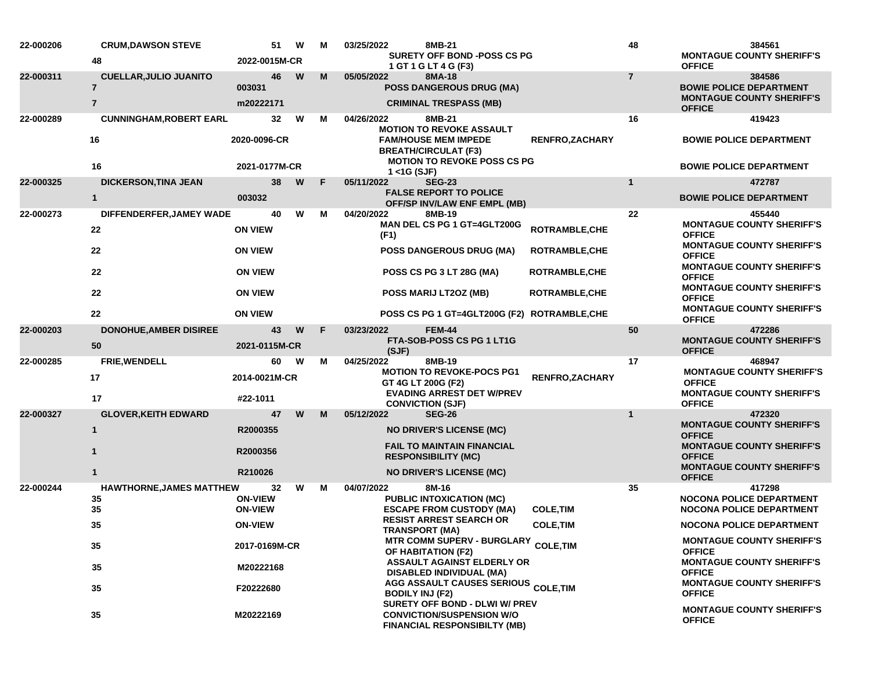| 22-000206 | <b>CRUM, DAWSON STEVE</b>                       | 51                                     | W | М  | 03/25/2022                                                                                         | 8MB-21                                                                                                    |                       | 48                                                | 384561                                                                                |
|-----------|-------------------------------------------------|----------------------------------------|---|----|----------------------------------------------------------------------------------------------------|-----------------------------------------------------------------------------------------------------------|-----------------------|---------------------------------------------------|---------------------------------------------------------------------------------------|
|           | 48                                              | 2022-0015M-CR                          |   |    |                                                                                                    | <b>SURETY OFF BOND -POSS CS PG</b><br>1 GT 1 G LT 4 G (F3)                                                |                       |                                                   | <b>MONTAGUE COUNTY SHERIFF'S</b><br><b>OFFICE</b>                                     |
| 22-000311 | <b>CUELLAR, JULIO JUANITO</b><br>$\overline{7}$ | 46<br>003031                           | W | M  | 05/05/2022                                                                                         | 8MA-18<br><b>POSS DANGEROUS DRUG (MA)</b>                                                                 |                       | $\overline{7}$                                    | 384586<br><b>BOWIE POLICE DEPARTMENT</b>                                              |
|           | $\overline{7}$                                  | m20222171                              |   |    |                                                                                                    | <b>CRIMINAL TRESPASS (MB)</b>                                                                             |                       |                                                   | <b>MONTAGUE COUNTY SHERIFF'S</b><br><b>OFFICE</b>                                     |
| 22-000289 | <b>CUNNINGHAM, ROBERT EARL</b>                  | 32                                     | W | м  | 04/26/2022                                                                                         | 8MB-21<br><b>MOTION TO REVOKE ASSAULT</b>                                                                 |                       | 16                                                | 419423                                                                                |
|           | 16                                              | 2020-0096-CR                           |   |    |                                                                                                    | <b>FAM/HOUSE MEM IMPEDE</b><br><b>BREATH/CIRCULAT (F3)</b><br><b>MOTION TO REVOKE POSS CS PG</b>          | <b>RENFRO,ZACHARY</b> |                                                   | <b>BOWIE POLICE DEPARTMENT</b>                                                        |
|           | 16                                              | 2021-0177M-CR                          |   |    | $1 <$ 1G (SJF)                                                                                     |                                                                                                           |                       |                                                   | <b>BOWIE POLICE DEPARTMENT</b>                                                        |
| 22-000325 | <b>DICKERSON, TINA JEAN</b><br>$\mathbf{1}$     | 38<br>003032                           | W | F  | 05/11/2022                                                                                         | <b>SEG-23</b><br><b>FALSE REPORT TO POLICE</b><br><b>OFF/SP INV/LAW ENF EMPL (MB)</b>                     |                       | 1                                                 | 472787<br><b>BOWIE POLICE DEPARTMENT</b>                                              |
| 22-000273 | DIFFENDERFER, JAMEY WADE                        | 40                                     | W | м  | 04/20/2022                                                                                         | 8MB-19                                                                                                    |                       | 22                                                | 455440                                                                                |
|           | 22                                              | <b>ON VIEW</b>                         |   |    | (F1)                                                                                               | MAN DEL CS PG 1 GT=4GLT200G                                                                               | ROTRAMBLE, CHE        |                                                   | <b>MONTAGUE COUNTY SHERIFF'S</b><br><b>OFFICE</b>                                     |
|           | 22                                              | <b>ON VIEW</b>                         |   |    |                                                                                                    | <b>POSS DANGEROUS DRUG (MA)</b>                                                                           | <b>ROTRAMBLE, CHE</b> |                                                   | <b>MONTAGUE COUNTY SHERIFF'S</b><br><b>OFFICE</b><br><b>MONTAGUE COUNTY SHERIFF'S</b> |
|           | 22                                              | <b>ON VIEW</b>                         |   |    | <b>POSS CS PG 3 LT 28G (MA)</b><br><b>ROTRAMBLE, CHE</b>                                           |                                                                                                           |                       |                                                   | <b>OFFICE</b><br><b>MONTAGUE COUNTY SHERIFF'S</b>                                     |
|           | 22                                              | <b>ON VIEW</b>                         |   |    |                                                                                                    | POSS MARIJ LT2OZ (MB)                                                                                     | ROTRAMBLE, CHE        |                                                   | <b>OFFICE</b><br><b>MONTAGUE COUNTY SHERIFF'S</b>                                     |
|           | 22                                              | <b>ON VIEW</b>                         |   |    |                                                                                                    | POSS CS PG 1 GT=4GLT200G (F2) ROTRAMBLE, CHE                                                              |                       |                                                   | <b>OFFICE</b>                                                                         |
| 22-000203 | <b>DONOHUE, AMBER DISIREE</b><br>50             | 43<br>2021-0115M-CR                    | W | -F | 03/23/2022                                                                                         | <b>FEM-44</b><br>FTA-SOB-POSS CS PG 1 LT1G                                                                |                       | 50                                                | 472286<br><b>MONTAGUE COUNTY SHERIFF'S</b><br><b>OFFICE</b>                           |
| 22-000285 | FRIE, WENDELL                                   | 60                                     | W | м  | (SJF)<br>04/25/2022                                                                                | 8MB-19                                                                                                    |                       | 17                                                | 468947                                                                                |
|           | 17                                              | 2014-0021M-CR                          |   |    |                                                                                                    | <b>MOTION TO REVOKE-POCS PG1</b><br>GT 4G LT 200G (F2)                                                    | RENFRO, ZACHARY       |                                                   | <b>MONTAGUE COUNTY SHERIFF'S</b><br><b>OFFICE</b>                                     |
|           | 17                                              | #22-1011                               |   |    |                                                                                                    | <b>EVADING ARREST DET W/PREV</b><br><b>CONVICTION (SJF)</b>                                               |                       |                                                   | <b>MONTAGUE COUNTY SHERIFF'S</b><br><b>OFFICE</b>                                     |
| 22-000327 | <b>GLOVER, KEITH EDWARD</b>                     | 47                                     | W | M  | 05/12/2022                                                                                         | <b>SEG-26</b>                                                                                             |                       | $\mathbf 1$                                       | 472320<br><b>MONTAGUE COUNTY SHERIFF'S</b>                                            |
|           | $\mathbf{1}$                                    | R2000355                               |   |    |                                                                                                    | <b>NO DRIVER'S LICENSE (MC)</b>                                                                           |                       |                                                   | <b>OFFICE</b>                                                                         |
|           | $\mathbf 1$                                     | R2000356<br>R210026                    |   |    | <b>FAIL TO MAINTAIN FINANCIAL</b><br><b>RESPONSIBILITY (MC)</b><br><b>NO DRIVER'S LICENSE (MC)</b> |                                                                                                           |                       |                                                   | <b>MONTAGUE COUNTY SHERIFF'S</b><br><b>OFFICE</b>                                     |
|           | 1                                               |                                        |   |    |                                                                                                    |                                                                                                           |                       | <b>MONTAGUE COUNTY SHERIFF'S</b><br><b>OFFICE</b> |                                                                                       |
| 22-000244 | <b>HAWTHORNE, JAMES MATTHEW</b><br>35<br>35     | 32<br><b>ON-VIEW</b><br><b>ON-VIEW</b> | W | М  | 04/07/2022                                                                                         | 8M-16<br><b>PUBLIC INTOXICATION (MC)</b><br><b>ESCAPE FROM CUSTODY (MA)</b>                               | <b>COLE, TIM</b>      | 35                                                | 417298<br><b>NOCONA POLICE DEPARTMENT</b><br><b>NOCONA POLICE DEPARTMENT</b>          |
|           | 35                                              | <b>ON-VIEW</b>                         |   |    |                                                                                                    | <b>RESIST ARREST SEARCH OR</b><br><b>TRANSPORT (MA)</b>                                                   | <b>COLE, TIM</b>      |                                                   | <b>NOCONA POLICE DEPARTMENT</b>                                                       |
|           | 35                                              | 2017-0169M-CR<br>M20222168             |   |    |                                                                                                    | MTR COMM SUPERV - BURGLARY COLE, TIM<br>OF HABITATION (F2)                                                |                       |                                                   | <b>MONTAGUE COUNTY SHERIFF'S</b><br><b>OFFICE</b>                                     |
|           | 35                                              |                                        |   |    |                                                                                                    | ASSAULT AGAINST ELDERLY OR<br>DISABLED INDIVIDUAL (MA)                                                    |                       |                                                   | <b>MONTAGUE COUNTY SHERIFF'S</b><br><b>OFFICE</b>                                     |
|           | 35                                              | F20222680                              |   |    | <b>BODILY INJ (F2)</b>                                                                             | <b>AGG ASSAULT CAUSES SERIOUS COLE,TIM</b>                                                                |                       |                                                   | <b>MONTAGUE COUNTY SHERIFF'S</b><br><b>OFFICE</b>                                     |
|           | 35                                              | M20222169                              |   |    |                                                                                                    | SURETY OFF BOND - DLWI W/ PREV<br><b>CONVICTION/SUSPENSION W/O</b><br><b>FINANCIAL RESPONSIBILTY (MB)</b> |                       |                                                   | <b>MONTAGUE COUNTY SHERIFF'S</b><br><b>OFFICE</b>                                     |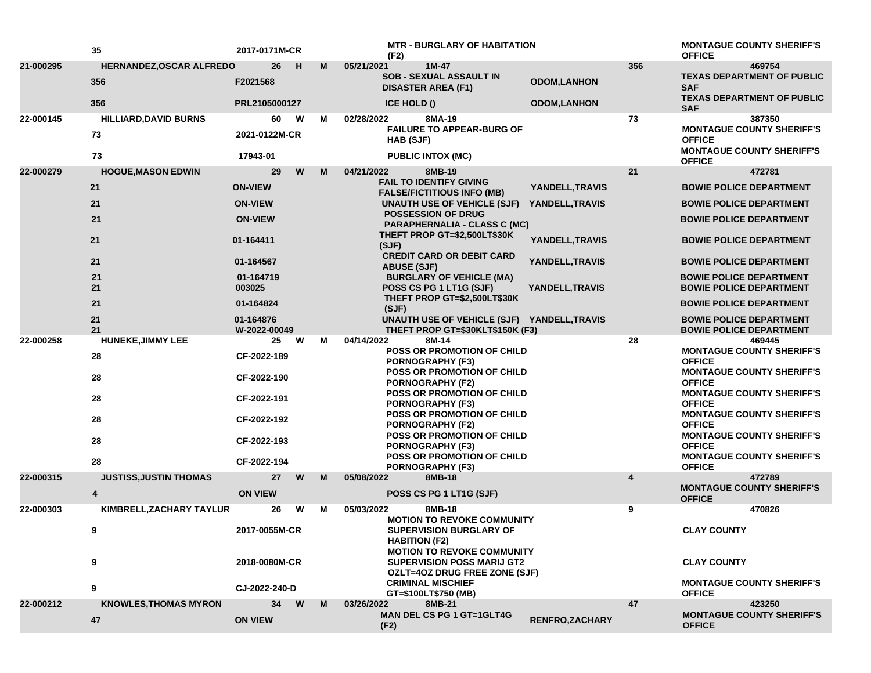| 356<br>21-000295<br><b>HERNANDEZ, OSCAR ALFREDO</b><br>26<br>м<br>05/21/2021<br>$1M-47$<br>469754<br>H<br><b>SOB - SEXUAL ASSAULT IN</b><br><b>TEXAS DEPARTMENT OF PUBLIC</b><br>356<br><b>ODOM,LANHON</b><br>F2021568<br><b>SAF</b><br><b>DISASTER AREA (F1)</b><br><b>TEXAS DEPARTMENT OF PUBLIC</b><br>356<br>PRL2105000127<br><b>ICE HOLD ()</b><br><b>ODOM,LANHON</b><br><b>SAF</b><br>W<br>73<br>22-000145<br><b>HILLIARD, DAVID BURNS</b><br>60<br>02/28/2022<br>8MA-19<br>387350<br>м<br><b>FAILURE TO APPEAR-BURG OF</b><br><b>MONTAGUE COUNTY SHERIFF'S</b><br>73<br>2021-0122M-CR<br><b>OFFICE</b><br>HAB (SJF)<br><b>MONTAGUE COUNTY SHERIFF'S</b><br>73<br>17943-01<br><b>PUBLIC INTOX (MC)</b><br><b>OFFICE</b><br><b>HOGUE, MASON EDWIN</b><br>W<br>21<br>22-000279<br>29<br>м<br>04/21/2022<br>8MB-19<br>472781<br><b>FAIL TO IDENTIFY GIVING</b><br>21<br><b>ON-VIEW</b><br>YANDELL, TRAVIS<br><b>BOWIE POLICE DEPARTMENT</b><br><b>FALSE/FICTITIOUS INFO (MB)</b><br>21<br><b>ON-VIEW</b><br>YANDELL, TRAVIS<br>UNAUTH USE OF VEHICLE (SJF)<br><b>BOWIE POLICE DEPARTMENT</b><br>POSSESSION OF DRUG<br>21<br><b>ON-VIEW</b><br><b>BOWIE POLICE DEPARTMENT</b><br><b>PARAPHERNALIA - CLASS C (MC)</b><br>THEFT PROP GT=\$2,500LT\$30K<br>YANDELL, TRAVIS<br>21<br>01-164411<br><b>BOWIE POLICE DEPARTMENT</b><br>(SJF)<br><b>CREDIT CARD OR DEBIT CARD</b><br>21<br>01-164567<br>YANDELL, TRAVIS<br><b>BOWIE POLICE DEPARTMENT</b><br><b>ABUSE (SJF)</b><br>21<br>01-164719<br><b>BURGLARY OF VEHICLE (MA)</b><br><b>BOWIE POLICE DEPARTMENT</b><br>21<br>003025<br>YANDELL, TRAVIS<br>POSS CS PG 1 LT1G (SJF)<br><b>BOWIE POLICE DEPARTMENT</b><br>THEFT PROP GT=\$2,500LT\$30K<br>21<br>01-164824<br><b>BOWIE POLICE DEPARTMENT</b><br>(SJF)<br>21<br>01-164876<br>UNAUTH USE OF VEHICLE (SJF) YANDELL, TRAVIS<br><b>BOWIE POLICE DEPARTMENT</b><br>21<br>THEFT PROP GT=\$30KLT\$150K (F3)<br>W-2022-00049<br><b>BOWIE POLICE DEPARTMENT</b><br>04/14/2022<br>22-000258<br><b>HUNEKE, JIMMY LEE</b><br>25<br>W<br>м<br>8M-14<br>28<br>469445<br><b>POSS OR PROMOTION OF CHILD</b><br><b>MONTAGUE COUNTY SHERIFF'S</b><br>28<br>CF-2022-189<br><b>OFFICE</b><br><b>PORNOGRAPHY (F3)</b><br>POSS OR PROMOTION OF CHILD<br><b>MONTAGUE COUNTY SHERIFF'S</b><br>28<br>CF-2022-190<br><b>OFFICE</b><br><b>PORNOGRAPHY (F2)</b><br>POSS OR PROMOTION OF CHILD<br><b>MONTAGUE COUNTY SHERIFF'S</b><br>28<br>CF-2022-191<br><b>OFFICE</b><br><b>PORNOGRAPHY (F3)</b><br><b>MONTAGUE COUNTY SHERIFF'S</b><br><b>POSS OR PROMOTION OF CHILD</b><br>28<br>CF-2022-192<br><b>OFFICE</b><br><b>PORNOGRAPHY (F2)</b><br><b>MONTAGUE COUNTY SHERIFF'S</b><br><b>POSS OR PROMOTION OF CHILD</b><br>28<br>CF-2022-193<br><b>OFFICE</b><br><b>PORNOGRAPHY (F3)</b><br>POSS OR PROMOTION OF CHILD<br><b>MONTAGUE COUNTY SHERIFF'S</b><br>28<br>CF-2022-194<br><b>OFFICE</b><br><b>PORNOGRAPHY (F3)</b><br>$\overline{\mathbf{4}}$<br>22-000315<br><b>JUSTISS, JUSTIN THOMAS</b><br>27<br>W<br>M<br>05/08/2022<br>8MB-18<br>472789<br><b>MONTAGUE COUNTY SHERIFF'S</b><br><b>ON VIEW</b><br>4<br>POSS CS PG 1 LT1G (SJF)<br><b>OFFICE</b><br>05/03/2022<br>KIMBRELL, ZACHARY TAYLUR<br>W<br>м<br>8MB-18<br>9<br>22-000303<br>26<br>470826<br><b>MOTION TO REVOKE COMMUNITY</b><br>9<br>2017-0055M-CR<br><b>SUPERVISION BURGLARY OF</b><br><b>CLAY COUNTY</b><br><b>HABITION (F2)</b><br><b>MOTION TO REVOKE COMMUNITY</b><br>9<br>2018-0080M-CR<br><b>SUPERVISION POSS MARIJ GT2</b><br><b>CLAY COUNTY</b><br>OZLT=4OZ DRUG FREE ZONE (SJF)<br><b>CRIMINAL MISCHIEF</b><br><b>MONTAGUE COUNTY SHERIFF'S</b><br>9<br>CJ-2022-240-D<br><b>OFFICE</b><br>GT=\$100LT\$750 (MB)<br>22-000212<br><b>KNOWLES, THOMAS MYRON</b><br>34<br>W<br>03/26/2022<br>47<br>423250<br>М<br>8MB-21<br><b>MAN DEL CS PG 1 GT=1GLT4G</b><br><b>MONTAGUE COUNTY SHERIFF'S</b><br>RENFRO, ZACHARY<br>47<br><b>ON VIEW</b><br><b>OFFICE</b><br>(F2) | 35 | 2017-0171M-CR |  | <b>MTR - BURGLARY OF HABITATION</b><br>(F2) |  | <b>MONTAGUE COUNTY SHERIFF'S</b><br><b>OFFICE</b> |
|----------------------------------------------------------------------------------------------------------------------------------------------------------------------------------------------------------------------------------------------------------------------------------------------------------------------------------------------------------------------------------------------------------------------------------------------------------------------------------------------------------------------------------------------------------------------------------------------------------------------------------------------------------------------------------------------------------------------------------------------------------------------------------------------------------------------------------------------------------------------------------------------------------------------------------------------------------------------------------------------------------------------------------------------------------------------------------------------------------------------------------------------------------------------------------------------------------------------------------------------------------------------------------------------------------------------------------------------------------------------------------------------------------------------------------------------------------------------------------------------------------------------------------------------------------------------------------------------------------------------------------------------------------------------------------------------------------------------------------------------------------------------------------------------------------------------------------------------------------------------------------------------------------------------------------------------------------------------------------------------------------------------------------------------------------------------------------------------------------------------------------------------------------------------------------------------------------------------------------------------------------------------------------------------------------------------------------------------------------------------------------------------------------------------------------------------------------------------------------------------------------------------------------------------------------------------------------------------------------------------------------------------------------------------------------------------------------------------------------------------------------------------------------------------------------------------------------------------------------------------------------------------------------------------------------------------------------------------------------------------------------------------------------------------------------------------------------------------------------------------------------------------------------------------------------------------------------------------------------------------------------------------------------------------------------------------------------------------------------------------------------------------------------------------------------------------------------------------------------------------------------------------------------------------------------------------------------------------------------------------------------------------------------------------------------------------------------------------------------------------------------------------------------------------------------------------------------------------------------------------------------------------------------------------------|----|---------------|--|---------------------------------------------|--|---------------------------------------------------|
|                                                                                                                                                                                                                                                                                                                                                                                                                                                                                                                                                                                                                                                                                                                                                                                                                                                                                                                                                                                                                                                                                                                                                                                                                                                                                                                                                                                                                                                                                                                                                                                                                                                                                                                                                                                                                                                                                                                                                                                                                                                                                                                                                                                                                                                                                                                                                                                                                                                                                                                                                                                                                                                                                                                                                                                                                                                                                                                                                                                                                                                                                                                                                                                                                                                                                                                                                                                                                                                                                                                                                                                                                                                                                                                                                                                                                                                                                                                            |    |               |  |                                             |  |                                                   |
|                                                                                                                                                                                                                                                                                                                                                                                                                                                                                                                                                                                                                                                                                                                                                                                                                                                                                                                                                                                                                                                                                                                                                                                                                                                                                                                                                                                                                                                                                                                                                                                                                                                                                                                                                                                                                                                                                                                                                                                                                                                                                                                                                                                                                                                                                                                                                                                                                                                                                                                                                                                                                                                                                                                                                                                                                                                                                                                                                                                                                                                                                                                                                                                                                                                                                                                                                                                                                                                                                                                                                                                                                                                                                                                                                                                                                                                                                                                            |    |               |  |                                             |  |                                                   |
|                                                                                                                                                                                                                                                                                                                                                                                                                                                                                                                                                                                                                                                                                                                                                                                                                                                                                                                                                                                                                                                                                                                                                                                                                                                                                                                                                                                                                                                                                                                                                                                                                                                                                                                                                                                                                                                                                                                                                                                                                                                                                                                                                                                                                                                                                                                                                                                                                                                                                                                                                                                                                                                                                                                                                                                                                                                                                                                                                                                                                                                                                                                                                                                                                                                                                                                                                                                                                                                                                                                                                                                                                                                                                                                                                                                                                                                                                                                            |    |               |  |                                             |  |                                                   |
|                                                                                                                                                                                                                                                                                                                                                                                                                                                                                                                                                                                                                                                                                                                                                                                                                                                                                                                                                                                                                                                                                                                                                                                                                                                                                                                                                                                                                                                                                                                                                                                                                                                                                                                                                                                                                                                                                                                                                                                                                                                                                                                                                                                                                                                                                                                                                                                                                                                                                                                                                                                                                                                                                                                                                                                                                                                                                                                                                                                                                                                                                                                                                                                                                                                                                                                                                                                                                                                                                                                                                                                                                                                                                                                                                                                                                                                                                                                            |    |               |  |                                             |  |                                                   |
|                                                                                                                                                                                                                                                                                                                                                                                                                                                                                                                                                                                                                                                                                                                                                                                                                                                                                                                                                                                                                                                                                                                                                                                                                                                                                                                                                                                                                                                                                                                                                                                                                                                                                                                                                                                                                                                                                                                                                                                                                                                                                                                                                                                                                                                                                                                                                                                                                                                                                                                                                                                                                                                                                                                                                                                                                                                                                                                                                                                                                                                                                                                                                                                                                                                                                                                                                                                                                                                                                                                                                                                                                                                                                                                                                                                                                                                                                                                            |    |               |  |                                             |  |                                                   |
|                                                                                                                                                                                                                                                                                                                                                                                                                                                                                                                                                                                                                                                                                                                                                                                                                                                                                                                                                                                                                                                                                                                                                                                                                                                                                                                                                                                                                                                                                                                                                                                                                                                                                                                                                                                                                                                                                                                                                                                                                                                                                                                                                                                                                                                                                                                                                                                                                                                                                                                                                                                                                                                                                                                                                                                                                                                                                                                                                                                                                                                                                                                                                                                                                                                                                                                                                                                                                                                                                                                                                                                                                                                                                                                                                                                                                                                                                                                            |    |               |  |                                             |  |                                                   |
|                                                                                                                                                                                                                                                                                                                                                                                                                                                                                                                                                                                                                                                                                                                                                                                                                                                                                                                                                                                                                                                                                                                                                                                                                                                                                                                                                                                                                                                                                                                                                                                                                                                                                                                                                                                                                                                                                                                                                                                                                                                                                                                                                                                                                                                                                                                                                                                                                                                                                                                                                                                                                                                                                                                                                                                                                                                                                                                                                                                                                                                                                                                                                                                                                                                                                                                                                                                                                                                                                                                                                                                                                                                                                                                                                                                                                                                                                                                            |    |               |  |                                             |  |                                                   |
|                                                                                                                                                                                                                                                                                                                                                                                                                                                                                                                                                                                                                                                                                                                                                                                                                                                                                                                                                                                                                                                                                                                                                                                                                                                                                                                                                                                                                                                                                                                                                                                                                                                                                                                                                                                                                                                                                                                                                                                                                                                                                                                                                                                                                                                                                                                                                                                                                                                                                                                                                                                                                                                                                                                                                                                                                                                                                                                                                                                                                                                                                                                                                                                                                                                                                                                                                                                                                                                                                                                                                                                                                                                                                                                                                                                                                                                                                                                            |    |               |  |                                             |  |                                                   |
|                                                                                                                                                                                                                                                                                                                                                                                                                                                                                                                                                                                                                                                                                                                                                                                                                                                                                                                                                                                                                                                                                                                                                                                                                                                                                                                                                                                                                                                                                                                                                                                                                                                                                                                                                                                                                                                                                                                                                                                                                                                                                                                                                                                                                                                                                                                                                                                                                                                                                                                                                                                                                                                                                                                                                                                                                                                                                                                                                                                                                                                                                                                                                                                                                                                                                                                                                                                                                                                                                                                                                                                                                                                                                                                                                                                                                                                                                                                            |    |               |  |                                             |  |                                                   |
|                                                                                                                                                                                                                                                                                                                                                                                                                                                                                                                                                                                                                                                                                                                                                                                                                                                                                                                                                                                                                                                                                                                                                                                                                                                                                                                                                                                                                                                                                                                                                                                                                                                                                                                                                                                                                                                                                                                                                                                                                                                                                                                                                                                                                                                                                                                                                                                                                                                                                                                                                                                                                                                                                                                                                                                                                                                                                                                                                                                                                                                                                                                                                                                                                                                                                                                                                                                                                                                                                                                                                                                                                                                                                                                                                                                                                                                                                                                            |    |               |  |                                             |  |                                                   |
|                                                                                                                                                                                                                                                                                                                                                                                                                                                                                                                                                                                                                                                                                                                                                                                                                                                                                                                                                                                                                                                                                                                                                                                                                                                                                                                                                                                                                                                                                                                                                                                                                                                                                                                                                                                                                                                                                                                                                                                                                                                                                                                                                                                                                                                                                                                                                                                                                                                                                                                                                                                                                                                                                                                                                                                                                                                                                                                                                                                                                                                                                                                                                                                                                                                                                                                                                                                                                                                                                                                                                                                                                                                                                                                                                                                                                                                                                                                            |    |               |  |                                             |  |                                                   |
|                                                                                                                                                                                                                                                                                                                                                                                                                                                                                                                                                                                                                                                                                                                                                                                                                                                                                                                                                                                                                                                                                                                                                                                                                                                                                                                                                                                                                                                                                                                                                                                                                                                                                                                                                                                                                                                                                                                                                                                                                                                                                                                                                                                                                                                                                                                                                                                                                                                                                                                                                                                                                                                                                                                                                                                                                                                                                                                                                                                                                                                                                                                                                                                                                                                                                                                                                                                                                                                                                                                                                                                                                                                                                                                                                                                                                                                                                                                            |    |               |  |                                             |  |                                                   |
|                                                                                                                                                                                                                                                                                                                                                                                                                                                                                                                                                                                                                                                                                                                                                                                                                                                                                                                                                                                                                                                                                                                                                                                                                                                                                                                                                                                                                                                                                                                                                                                                                                                                                                                                                                                                                                                                                                                                                                                                                                                                                                                                                                                                                                                                                                                                                                                                                                                                                                                                                                                                                                                                                                                                                                                                                                                                                                                                                                                                                                                                                                                                                                                                                                                                                                                                                                                                                                                                                                                                                                                                                                                                                                                                                                                                                                                                                                                            |    |               |  |                                             |  |                                                   |
|                                                                                                                                                                                                                                                                                                                                                                                                                                                                                                                                                                                                                                                                                                                                                                                                                                                                                                                                                                                                                                                                                                                                                                                                                                                                                                                                                                                                                                                                                                                                                                                                                                                                                                                                                                                                                                                                                                                                                                                                                                                                                                                                                                                                                                                                                                                                                                                                                                                                                                                                                                                                                                                                                                                                                                                                                                                                                                                                                                                                                                                                                                                                                                                                                                                                                                                                                                                                                                                                                                                                                                                                                                                                                                                                                                                                                                                                                                                            |    |               |  |                                             |  |                                                   |
|                                                                                                                                                                                                                                                                                                                                                                                                                                                                                                                                                                                                                                                                                                                                                                                                                                                                                                                                                                                                                                                                                                                                                                                                                                                                                                                                                                                                                                                                                                                                                                                                                                                                                                                                                                                                                                                                                                                                                                                                                                                                                                                                                                                                                                                                                                                                                                                                                                                                                                                                                                                                                                                                                                                                                                                                                                                                                                                                                                                                                                                                                                                                                                                                                                                                                                                                                                                                                                                                                                                                                                                                                                                                                                                                                                                                                                                                                                                            |    |               |  |                                             |  |                                                   |
|                                                                                                                                                                                                                                                                                                                                                                                                                                                                                                                                                                                                                                                                                                                                                                                                                                                                                                                                                                                                                                                                                                                                                                                                                                                                                                                                                                                                                                                                                                                                                                                                                                                                                                                                                                                                                                                                                                                                                                                                                                                                                                                                                                                                                                                                                                                                                                                                                                                                                                                                                                                                                                                                                                                                                                                                                                                                                                                                                                                                                                                                                                                                                                                                                                                                                                                                                                                                                                                                                                                                                                                                                                                                                                                                                                                                                                                                                                                            |    |               |  |                                             |  |                                                   |
|                                                                                                                                                                                                                                                                                                                                                                                                                                                                                                                                                                                                                                                                                                                                                                                                                                                                                                                                                                                                                                                                                                                                                                                                                                                                                                                                                                                                                                                                                                                                                                                                                                                                                                                                                                                                                                                                                                                                                                                                                                                                                                                                                                                                                                                                                                                                                                                                                                                                                                                                                                                                                                                                                                                                                                                                                                                                                                                                                                                                                                                                                                                                                                                                                                                                                                                                                                                                                                                                                                                                                                                                                                                                                                                                                                                                                                                                                                                            |    |               |  |                                             |  |                                                   |
|                                                                                                                                                                                                                                                                                                                                                                                                                                                                                                                                                                                                                                                                                                                                                                                                                                                                                                                                                                                                                                                                                                                                                                                                                                                                                                                                                                                                                                                                                                                                                                                                                                                                                                                                                                                                                                                                                                                                                                                                                                                                                                                                                                                                                                                                                                                                                                                                                                                                                                                                                                                                                                                                                                                                                                                                                                                                                                                                                                                                                                                                                                                                                                                                                                                                                                                                                                                                                                                                                                                                                                                                                                                                                                                                                                                                                                                                                                                            |    |               |  |                                             |  |                                                   |
|                                                                                                                                                                                                                                                                                                                                                                                                                                                                                                                                                                                                                                                                                                                                                                                                                                                                                                                                                                                                                                                                                                                                                                                                                                                                                                                                                                                                                                                                                                                                                                                                                                                                                                                                                                                                                                                                                                                                                                                                                                                                                                                                                                                                                                                                                                                                                                                                                                                                                                                                                                                                                                                                                                                                                                                                                                                                                                                                                                                                                                                                                                                                                                                                                                                                                                                                                                                                                                                                                                                                                                                                                                                                                                                                                                                                                                                                                                                            |    |               |  |                                             |  |                                                   |
|                                                                                                                                                                                                                                                                                                                                                                                                                                                                                                                                                                                                                                                                                                                                                                                                                                                                                                                                                                                                                                                                                                                                                                                                                                                                                                                                                                                                                                                                                                                                                                                                                                                                                                                                                                                                                                                                                                                                                                                                                                                                                                                                                                                                                                                                                                                                                                                                                                                                                                                                                                                                                                                                                                                                                                                                                                                                                                                                                                                                                                                                                                                                                                                                                                                                                                                                                                                                                                                                                                                                                                                                                                                                                                                                                                                                                                                                                                                            |    |               |  |                                             |  |                                                   |
|                                                                                                                                                                                                                                                                                                                                                                                                                                                                                                                                                                                                                                                                                                                                                                                                                                                                                                                                                                                                                                                                                                                                                                                                                                                                                                                                                                                                                                                                                                                                                                                                                                                                                                                                                                                                                                                                                                                                                                                                                                                                                                                                                                                                                                                                                                                                                                                                                                                                                                                                                                                                                                                                                                                                                                                                                                                                                                                                                                                                                                                                                                                                                                                                                                                                                                                                                                                                                                                                                                                                                                                                                                                                                                                                                                                                                                                                                                                            |    |               |  |                                             |  |                                                   |
|                                                                                                                                                                                                                                                                                                                                                                                                                                                                                                                                                                                                                                                                                                                                                                                                                                                                                                                                                                                                                                                                                                                                                                                                                                                                                                                                                                                                                                                                                                                                                                                                                                                                                                                                                                                                                                                                                                                                                                                                                                                                                                                                                                                                                                                                                                                                                                                                                                                                                                                                                                                                                                                                                                                                                                                                                                                                                                                                                                                                                                                                                                                                                                                                                                                                                                                                                                                                                                                                                                                                                                                                                                                                                                                                                                                                                                                                                                                            |    |               |  |                                             |  |                                                   |
|                                                                                                                                                                                                                                                                                                                                                                                                                                                                                                                                                                                                                                                                                                                                                                                                                                                                                                                                                                                                                                                                                                                                                                                                                                                                                                                                                                                                                                                                                                                                                                                                                                                                                                                                                                                                                                                                                                                                                                                                                                                                                                                                                                                                                                                                                                                                                                                                                                                                                                                                                                                                                                                                                                                                                                                                                                                                                                                                                                                                                                                                                                                                                                                                                                                                                                                                                                                                                                                                                                                                                                                                                                                                                                                                                                                                                                                                                                                            |    |               |  |                                             |  |                                                   |
|                                                                                                                                                                                                                                                                                                                                                                                                                                                                                                                                                                                                                                                                                                                                                                                                                                                                                                                                                                                                                                                                                                                                                                                                                                                                                                                                                                                                                                                                                                                                                                                                                                                                                                                                                                                                                                                                                                                                                                                                                                                                                                                                                                                                                                                                                                                                                                                                                                                                                                                                                                                                                                                                                                                                                                                                                                                                                                                                                                                                                                                                                                                                                                                                                                                                                                                                                                                                                                                                                                                                                                                                                                                                                                                                                                                                                                                                                                                            |    |               |  |                                             |  |                                                   |
|                                                                                                                                                                                                                                                                                                                                                                                                                                                                                                                                                                                                                                                                                                                                                                                                                                                                                                                                                                                                                                                                                                                                                                                                                                                                                                                                                                                                                                                                                                                                                                                                                                                                                                                                                                                                                                                                                                                                                                                                                                                                                                                                                                                                                                                                                                                                                                                                                                                                                                                                                                                                                                                                                                                                                                                                                                                                                                                                                                                                                                                                                                                                                                                                                                                                                                                                                                                                                                                                                                                                                                                                                                                                                                                                                                                                                                                                                                                            |    |               |  |                                             |  |                                                   |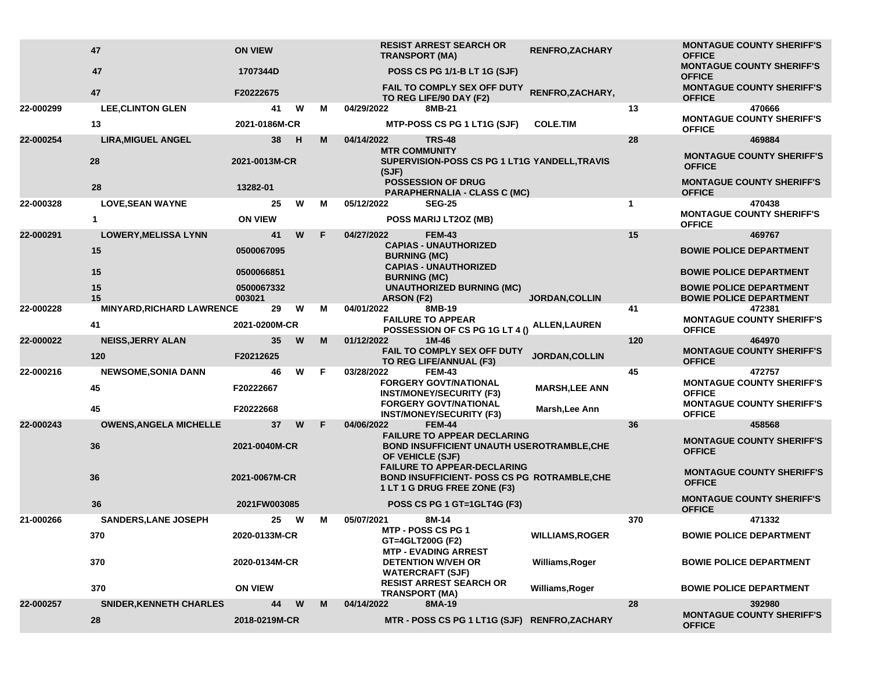|           | 47                               | <b>ON VIEW</b>       |     |    | <b>RESIST ARREST SEARCH OR</b><br><b>TRANSPORT (MA)</b>                                                                   | <b>RENFRO,ZACHARY</b>  |              | <b>MONTAGUE COUNTY SHERIFF'S</b><br><b>OFFICE</b>                |
|-----------|----------------------------------|----------------------|-----|----|---------------------------------------------------------------------------------------------------------------------------|------------------------|--------------|------------------------------------------------------------------|
|           | 47                               | 1707344D             |     |    | POSS CS PG 1/1-B LT 1G (SJF)                                                                                              |                        |              | <b>MONTAGUE COUNTY SHERIFF'S</b><br><b>OFFICE</b>                |
|           | 47                               | F20222675            |     |    | <b>FAIL TO COMPLY SEX OFF DUTY</b><br>TO REG LIFE/90 DAY (F2)                                                             | RENFRO, ZACHARY,       |              | <b>MONTAGUE COUNTY SHERIFF'S</b><br><b>OFFICE</b>                |
| 22-000299 | <b>LEE, CLINTON GLEN</b>         | 41                   | W   | м  | 04/29/2022<br>8MB-21                                                                                                      |                        | 13           | 470666                                                           |
|           | 13                               | 2021-0186M-CR        |     |    | MTP-POSS CS PG 1 LT1G (SJF)                                                                                               | <b>COLE.TIM</b>        |              | <b>MONTAGUE COUNTY SHERIFF'S</b><br><b>OFFICE</b>                |
| 22-000254 | <b>LIRA, MIGUEL ANGEL</b>        | 38                   | - H | м  | 04/14/2022<br><b>TRS-48</b><br><b>MTR COMMUNITY</b>                                                                       |                        | 28           | 469884                                                           |
|           | 28                               | 2021-0013M-CR        |     |    | SUPERVISION-POSS CS PG 1 LT1G YANDELL, TRAVIS<br>(SJF)                                                                    |                        |              | <b>MONTAGUE COUNTY SHERIFF'S</b><br><b>OFFICE</b>                |
|           | 28                               | 13282-01             |     |    | <b>POSSESSION OF DRUG</b><br><b>PARAPHERNALIA - CLASS C (MC)</b>                                                          |                        |              | <b>MONTAGUE COUNTY SHERIFF'S</b><br><b>OFFICE</b>                |
| 22-000328 | <b>LOVE, SEAN WAYNE</b>          | 25                   | W   | м  | 05/12/2022<br><b>SEG-25</b>                                                                                               |                        | $\mathbf{1}$ | 470438                                                           |
|           | $\mathbf{1}$                     | <b>ON VIEW</b>       |     |    | POSS MARIJ LT2OZ (MB)                                                                                                     |                        |              | <b>MONTAGUE COUNTY SHERIFF'S</b><br><b>OFFICE</b>                |
| 22-000291 | <b>LOWERY, MELISSA LYNN</b>      | 41                   | W   | F  | 04/27/2022<br><b>FEM-43</b>                                                                                               |                        | 15           | 469767                                                           |
|           | 15                               | 0500067095           |     |    | <b>CAPIAS - UNAUTHORIZED</b><br><b>BURNING (MC)</b>                                                                       |                        |              | <b>BOWIE POLICE DEPARTMENT</b>                                   |
|           | 15                               | 0500066851           |     |    | <b>CAPIAS - UNAUTHORIZED</b><br><b>BURNING (MC)</b>                                                                       |                        |              | <b>BOWIE POLICE DEPARTMENT</b>                                   |
|           | 15<br>15                         | 0500067332<br>003021 |     |    | <b>UNAUTHORIZED BURNING (MC)</b><br><b>ARSON (F2)</b>                                                                     | <b>JORDAN, COLLIN</b>  |              | <b>BOWIE POLICE DEPARTMENT</b><br><b>BOWIE POLICE DEPARTMENT</b> |
| 22-000228 | <b>MINYARD, RICHARD LAWRENCE</b> | 29                   | W   | м  | 8MB-19<br>04/01/2022                                                                                                      |                        | 41           | 472381                                                           |
|           | 41                               | 2021-0200M-CR        |     |    | <b>FAILURE TO APPEAR</b><br>POSSESSION OF CS PG 1G LT 4 ()                                                                | ALLEN,LAUREN           |              | <b>MONTAGUE COUNTY SHERIFF'S</b><br><b>OFFICE</b>                |
| 22-000022 | <b>NEISS, JERRY ALAN</b>         | 35                   | W   | м  | 01/12/2022<br>$1M-46$                                                                                                     |                        | 120          | 464970                                                           |
|           | 120                              | F20212625            |     |    | FAIL TO COMPLY SEX OFF DUTY<br>TO REG LIFE/ANNUAL (F3)                                                                    | <b>JORDAN, COLLIN</b>  |              | <b>MONTAGUE COUNTY SHERIFF'S</b><br><b>OFFICE</b>                |
| 22-000216 | <b>NEWSOME, SONIA DANN</b>       | 46                   | W   | F. | 03/28/2022<br><b>FEM-43</b>                                                                                               |                        | 45           | 472757                                                           |
|           | 45                               | F20222667            |     |    | <b>FORGERY GOVT/NATIONAL</b><br><b>INST/MONEY/SECURITY (F3)</b>                                                           | <b>MARSH, LEE ANN</b>  |              | <b>MONTAGUE COUNTY SHERIFF'S</b><br><b>OFFICE</b>                |
|           | 45                               | F20222668            |     |    | <b>FORGERY GOVT/NATIONAL</b><br><b>INST/MONEY/SECURITY (F3)</b>                                                           | Marsh, Lee Ann         |              | <b>MONTAGUE COUNTY SHERIFF'S</b><br><b>OFFICE</b>                |
| 22-000243 | <b>OWENS, ANGELA MICHELLE</b>    | 37                   | W   | F. | <b>FEM-44</b><br>04/06/2022                                                                                               |                        | 36           | 458568                                                           |
|           | 36                               | 2021-0040M-CR        |     |    | <b>FAILURE TO APPEAR DECLARING</b><br><b>BOND INSUFFICIENT UNAUTH USEROTRAMBLE, CHE</b><br>OF VEHICLE (SJF)               |                        |              | <b>MONTAGUE COUNTY SHERIFF'S</b><br><b>OFFICE</b>                |
|           | 36                               | 2021-0067M-CR        |     |    | <b>FAILURE TO APPEAR-DECLARING</b><br><b>BOND INSUFFICIENT- POSS CS PG ROTRAMBLE, CHE</b><br>1 LT 1 G DRUG FREE ZONE (F3) |                        |              | <b>MONTAGUE COUNTY SHERIFF'S</b><br><b>OFFICE</b>                |
|           | 36                               | 2021FW003085         |     |    | POSS CS PG 1 GT=1GLT4G (F3)                                                                                               |                        |              | <b>MONTAGUE COUNTY SHERIFF'S</b><br><b>OFFICE</b>                |
| 21-000266 | <b>SANDERS, LANE JOSEPH</b>      | 25                   | W   | м  | 05/07/2021<br>8M-14                                                                                                       |                        | 370          | 471332                                                           |
|           | 370                              | 2020-0133M-CR        |     |    | MTP - POSS CS PG 1<br>GT=4GLT200G (F2)<br><b>MTP - EVADING ARREST</b>                                                     | <b>WILLIAMS, ROGER</b> |              | <b>BOWIE POLICE DEPARTMENT</b>                                   |
|           | 370                              | 2020-0134M-CR        |     |    | <b>DETENTION W/VEH OR</b><br><b>WATERCRAFT (SJF)</b>                                                                      | <b>Williams, Roger</b> |              | <b>BOWIE POLICE DEPARTMENT</b>                                   |
|           | 370                              | <b>ON VIEW</b>       |     |    | <b>RESIST ARREST SEARCH OR</b><br><b>TRANSPORT (MA)</b>                                                                   | Williams, Roger        |              | <b>BOWIE POLICE DEPARTMENT</b>                                   |
| 22-000257 | <b>SNIDER, KENNETH CHARLES</b>   | 44                   | W   | M  | 04/14/2022<br>8MA-19                                                                                                      |                        | 28           | 392980                                                           |
|           | 28                               | 2018-0219M-CR        |     |    | MTR - POSS CS PG 1 LT1G (SJF) RENFRO, ZACHARY                                                                             |                        |              | <b>MONTAGUE COUNTY SHERIFF'S</b><br><b>OFFICE</b>                |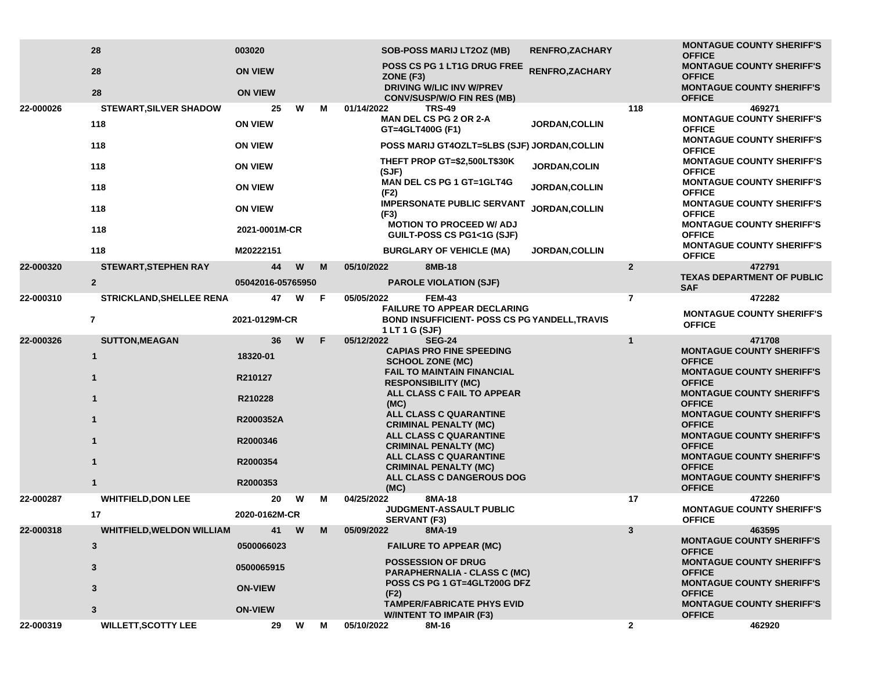|           | 28                               | 003020            |   |   | <b>SOB-POSS MARIJ LT2OZ (MB)</b>                                     | <b>RENFRO, ZACHARY</b>                               |                | <b>MONTAGUE COUNTY SHERIFF'S</b><br><b>OFFICE</b> |
|-----------|----------------------------------|-------------------|---|---|----------------------------------------------------------------------|------------------------------------------------------|----------------|---------------------------------------------------|
|           | 28                               | <b>ON VIEW</b>    |   |   | POSS CS PG 1 LT1G DRUG FREE<br>ZONE (F3)                             | RENFRO, ZACHARY                                      |                | <b>MONTAGUE COUNTY SHERIFF'S</b><br><b>OFFICE</b> |
|           | 28                               | <b>ON VIEW</b>    |   |   | <b>DRIVING W/LIC INV W/PREV</b><br><b>CONV/SUSP/W/O FIN RES (MB)</b> |                                                      |                | <b>MONTAGUE COUNTY SHERIFF'S</b><br><b>OFFICE</b> |
| 22-000026 | <b>STEWART, SILVER SHADOW</b>    | 25                | W | М | 01/14/2022<br><b>TRS-49</b><br><b>MAN DEL CS PG 2 OR 2-A</b>         |                                                      | 118            | 469271<br><b>MONTAGUE COUNTY SHERIFF'S</b>        |
|           | 118                              | <b>ON VIEW</b>    |   |   | GT=4GLT400G (F1)                                                     | <b>JORDAN, COLLIN</b>                                |                | <b>OFFICE</b>                                     |
|           | 118                              | <b>ON VIEW</b>    |   |   |                                                                      | POSS MARIJ GT4OZLT=5LBS (SJF) JORDAN, COLLIN         |                | <b>MONTAGUE COUNTY SHERIFF'S</b><br><b>OFFICE</b> |
|           | 118                              | <b>ON VIEW</b>    |   |   | THEFT PROP GT=\$2,500LT\$30K<br>(SJF)                                | JORDAN, COLIN                                        |                | <b>MONTAGUE COUNTY SHERIFF'S</b><br><b>OFFICE</b> |
|           | 118                              | <b>ON VIEW</b>    |   |   | <b>MAN DEL CS PG 1 GT=1GLT4G</b>                                     | JORDAN, COLLIN                                       |                | <b>MONTAGUE COUNTY SHERIFF'S</b><br><b>OFFICE</b> |
|           | 118                              | <b>ON VIEW</b>    |   |   | (F2)<br><b>IMPERSONATE PUBLIC SERVANT</b><br>(F3)                    | JORDAN, COLLIN                                       |                | <b>MONTAGUE COUNTY SHERIFF'S</b><br><b>OFFICE</b> |
|           | 118                              | 2021-0001M-CR     |   |   | <b>MOTION TO PROCEED W/ ADJ</b><br>GUILT-POSS CS PG1<1G (SJF)        |                                                      |                | <b>MONTAGUE COUNTY SHERIFF'S</b><br><b>OFFICE</b> |
|           | 118                              | M20222151         |   |   | <b>BURGLARY OF VEHICLE (MA)</b>                                      | <b>JORDAN, COLLIN</b>                                |                | <b>MONTAGUE COUNTY SHERIFF'S</b><br><b>OFFICE</b> |
| 22-000320 | <b>STEWART, STEPHEN RAY</b>      | 44                | W | M | 8MB-18<br>05/10/2022                                                 |                                                      | $\mathbf{2}$   | 472791                                            |
|           | $\overline{2}$                   | 05042016-05765950 |   |   | <b>PAROLE VIOLATION (SJF)</b>                                        |                                                      |                | <b>TEXAS DEPARTMENT OF PUBLIC</b><br><b>SAF</b>   |
| 22-000310 | <b>STRICKLAND, SHELLEE RENA</b>  | 47                | W | F | 05/05/2022<br><b>FEM-43</b>                                          |                                                      | $\overline{7}$ | 472282                                            |
|           | $\overline{7}$                   | 2021-0129M-CR     |   |   | <b>FAILURE TO APPEAR DECLARING</b><br>1 LT 1 G (SJF)                 | <b>BOND INSUFFICIENT- POSS CS PG YANDELL, TRAVIS</b> |                | <b>MONTAGUE COUNTY SHERIFF'S</b><br><b>OFFICE</b> |
| 22-000326 | <b>SUTTON, MEAGAN</b>            | 36                | W | F | 05/12/2022<br><b>SEG-24</b>                                          |                                                      | $\mathbf{1}$   | 471708                                            |
|           | $\mathbf{1}$                     | 18320-01          |   |   | <b>CAPIAS PRO FINE SPEEDING</b><br><b>SCHOOL ZONE (MC)</b>           |                                                      |                | <b>MONTAGUE COUNTY SHERIFF'S</b><br><b>OFFICE</b> |
|           | 1                                | R210127           |   |   | <b>FAIL TO MAINTAIN FINANCIAL</b><br><b>RESPONSIBILITY (MC)</b>      |                                                      |                | <b>MONTAGUE COUNTY SHERIFF'S</b><br><b>OFFICE</b> |
|           | $\mathbf{1}$                     | R210228           |   |   | ALL CLASS C FAIL TO APPEAR<br>(MC)                                   |                                                      |                | <b>MONTAGUE COUNTY SHERIFF'S</b><br><b>OFFICE</b> |
|           | 1                                | R2000352A         |   |   | ALL CLASS C QUARANTINE<br><b>CRIMINAL PENALTY (MC)</b>               |                                                      |                | <b>MONTAGUE COUNTY SHERIFF'S</b><br><b>OFFICE</b> |
|           | 1                                | R2000346          |   |   | <b>ALL CLASS C QUARANTINE</b><br><b>CRIMINAL PENALTY (MC)</b>        |                                                      |                | <b>MONTAGUE COUNTY SHERIFF'S</b><br><b>OFFICE</b> |
|           | $\mathbf{1}$                     | R2000354          |   |   | ALL CLASS C QUARANTINE<br><b>CRIMINAL PENALTY (MC)</b>               |                                                      |                | <b>MONTAGUE COUNTY SHERIFF'S</b><br><b>OFFICE</b> |
|           | 1                                | R2000353          |   |   | ALL CLASS C DANGEROUS DOG                                            |                                                      |                | <b>MONTAGUE COUNTY SHERIFF'S</b>                  |
| 22-000287 | <b>WHITFIELD, DON LEE</b>        | 20                | W | м | (MC)<br>8MA-18<br>04/25/2022                                         |                                                      | 17             | <b>OFFICE</b><br>472260                           |
|           | 17                               | 2020-0162M-CR     |   |   | JUDGMENT-ASSAULT PUBLIC<br><b>SERVANT (F3)</b>                       |                                                      |                | <b>MONTAGUE COUNTY SHERIFF'S</b><br><b>OFFICE</b> |
| 22-000318 | <b>WHITFIELD, WELDON WILLIAM</b> | 41                | W | M | 05/09/2022<br>8MA-19                                                 |                                                      | 3              | 463595                                            |
|           | 3                                | 0500066023        |   |   | <b>FAILURE TO APPEAR (MC)</b>                                        |                                                      |                | <b>MONTAGUE COUNTY SHERIFF'S</b><br><b>OFFICE</b> |
|           | 3                                | 0500065915        |   |   | <b>POSSESSION OF DRUG</b><br><b>PARAPHERNALIA - CLASS C (MC)</b>     |                                                      |                | <b>MONTAGUE COUNTY SHERIFF'S</b><br><b>OFFICE</b> |
|           | 3                                | <b>ON-VIEW</b>    |   |   | POSS CS PG 1 GT=4GLT200G DFZ<br>(F2)                                 |                                                      |                | <b>MONTAGUE COUNTY SHERIFF'S</b><br><b>OFFICE</b> |
|           | 3                                | <b>ON-VIEW</b>    |   |   | <b>TAMPER/FABRICATE PHYS EVID</b><br><b>W/INTENT TO IMPAIR (F3)</b>  |                                                      |                | <b>MONTAGUE COUNTY SHERIFF'S</b><br><b>OFFICE</b> |
| 22-000319 | <b>WILLETT, SCOTTY LEE</b>       | 29                | W | M | 05/10/2022<br>8M-16                                                  |                                                      | $\mathbf{2}$   | 462920                                            |